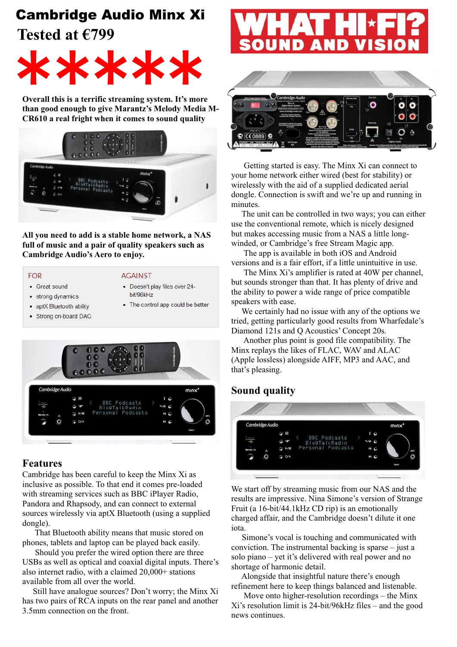# Cambridge Audio Minx Xi

**Tested at €799**



**Overall this is a terrific streaming system. It's more than good enough to give Marantz's Melody Media M-CR610 a real fright when it comes to sound quality** 



**All you need to add is a stable home network, a NAS full of music and a pair of quality speakers such as Cambridge Audio's Aero to enjoy.**

#### **FOR**

• Great sound

#### **AGAINST**

- 
- · strong dynamics
- Doesn't play files over 24-
- hit/96kHz
- aptX Bluetooth ability
- Strong on-board DAC
- The control app could be better
- 

### **Features**

Cambridge has been careful to keep the Minx Xi as inclusive as possible. To that end it comes pre-loaded with streaming services such as BBC iPlayer Radio, Pandora and Rhapsody, and can connect to external sources wirelessly via aptX Bluetooth (using a supplied dongle).

 That Bluetooth ability means that music stored on phones, tablets and laptop can be played back easily.

 Should you prefer the wired option there are three USBs as well as optical and coaxial digital inputs. There's also internet radio, with a claimed 20,000+ stations available from all over the world.

 Still have analogue sources? Don't worry; the Minx Xi has two pairs of RCA inputs on the rear panel and another 3.5mm connection on the front.





 Getting started is easy. The Minx Xi can connect to your home network either wired (best for stability) or wirelessly with the aid of a supplied dedicated aerial dongle. Connection is swift and we're up and running in minutes.

 The unit can be controlled in two ways; you can either use the conventional remote, which is nicely designed but makes accessing music from a NAS a little longwinded, or Cambridge's free Stream Magic app.

 The app is available in both iOS and Android versions and is a fair effort, if a little unintuitive in use.

 The Minx Xi's amplifier is rated at 40W per channel, but sounds stronger than that. It has plenty of drive and the ability to power a wide range of price compatible speakers with ease.

 We certainly had no issue with any of the options we tried, getting particularly good results from Wharfedale's Diamond 121s and Q Acoustics' Concept 20s.

 Another plus point is good file compatibility. The Minx replays the likes of FLAC, WAV and ALAC (Apple lossless) alongside AIFF, MP3 and AAC, and that's pleasing.

## **Sound quality**



We start off by streaming music from our NAS and the results are impressive. Nina Simone's version of Strange Fruit (a 16-bit/44.1kHz CD rip) is an emotionally charged affair, and the Cambridge doesn't dilute it one iota.

 Simone's vocal is touching and communicated with conviction. The instrumental backing is sparse – just a solo piano – yet it's delivered with real power and no shortage of harmonic detail.

 Alongside that insightful nature there's enough refinement here to keep things balanced and listenable.

 Move onto higher-resolution recordings – the Minx Xi's resolution limit is 24-bit/96kHz files – and the good news continues.